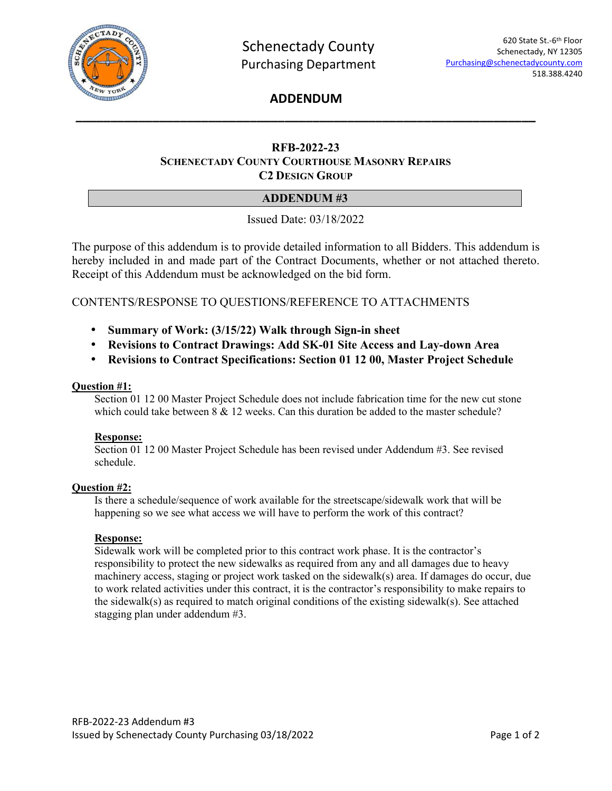

# **ADDENDUM \_\_\_\_\_\_\_\_\_\_\_\_\_\_\_\_\_\_\_\_\_\_\_\_\_\_\_\_\_\_\_\_\_\_\_\_\_\_\_\_\_\_\_\_\_\_\_\_\_\_\_\_\_\_\_\_\_\_\_\_\_\_\_\_\_\_**

## **RFB-2022-23 SCHENECTADY COUNTY COURTHOUSE MASONRY REPAIRS C2 DESIGN GROUP**

## **ADDENDUM #3**

Issued Date: 03/18/2022

The purpose of this addendum is to provide detailed information to all Bidders. This addendum is hereby included in and made part of the Contract Documents, whether or not attached thereto. Receipt of this Addendum must be acknowledged on the bid form.

## CONTENTS/RESPONSE TO QUESTIONS/REFERENCE TO ATTACHMENTS

- **Summary of Work: (3/15/22) Walk through Sign-in sheet**
- **Revisions to Contract Drawings: Add SK-01 Site Access and Lay-down Area**
- **Revisions to Contract Specifications: Section 01 12 00, Master Project Schedule**

### **Question #1:**

Section 01 12 00 Master Project Schedule does not include fabrication time for the new cut stone which could take between  $8 \& 12$  weeks. Can this duration be added to the master schedule?

## **Response:**

Section 01 12 00 Master Project Schedule has been revised under Addendum #3. See revised schedule.

## **Question #2:**

Is there a schedule/sequence of work available for the streetscape/sidewalk work that will be happening so we see what access we will have to perform the work of this contract?

## **Response:**

Sidewalk work will be completed prior to this contract work phase. It is the contractor's responsibility to protect the new sidewalks as required from any and all damages due to heavy machinery access, staging or project work tasked on the sidewalk(s) area. If damages do occur, due to work related activities under this contract, it is the contractor's responsibility to make repairs to the sidewalk(s) as required to match original conditions of the existing sidewalk(s). See attached stagging plan under addendum #3.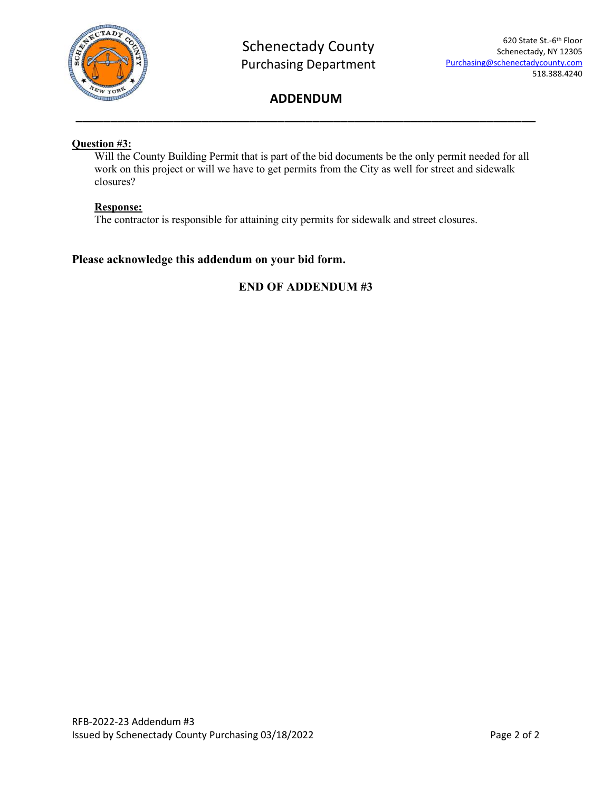

# **ADDENDUM \_\_\_\_\_\_\_\_\_\_\_\_\_\_\_\_\_\_\_\_\_\_\_\_\_\_\_\_\_\_\_\_\_\_\_\_\_\_\_\_\_\_\_\_\_\_\_\_\_\_\_\_\_\_\_\_\_\_\_\_\_\_\_\_\_\_**

## **Question #3:**

Will the County Building Permit that is part of the bid documents be the only permit needed for all work on this project or will we have to get permits from the City as well for street and sidewalk closures?

## **Response:**

The contractor is responsible for attaining city permits for sidewalk and street closures.

## **Please acknowledge this addendum on your bid form.**

# **END OF ADDENDUM #3**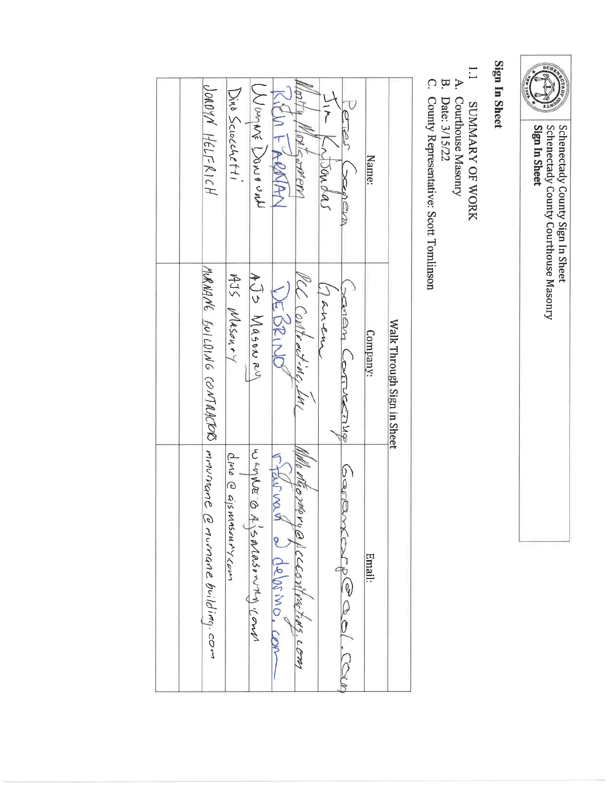

Schenectady County Sign In Sheet<br>Schenectady County Courthouse Masonry<br>**Sign In Sheet** 

# Sign In Sheet

- $\overline{1}$ SUMMARY OF WORK
- A. Courthouse Masonry<br>Date: 3/15/22
- $\mathbb{R}$  C.
- County Representative: Scott Tomlinson

|  | DOROYN HELFRICH                      | Dino Sciocchetti     | CNOWE CONNECT                  | L FRONA                   | Fermery                         | workas | <b>DENEVIN</b>         | Name:    |                            |
|--|--------------------------------------|----------------------|--------------------------------|---------------------------|---------------------------------|--------|------------------------|----------|----------------------------|
|  | MRAANE SULOING CONTRACTO mrovinane C | AJS MASON.44         | $A\supset$ $D$ $M$ as a $\sim$ | DE BRIND                  | MCC Contract-Mc, LM             | Janen  | sanan Lontuccinq       | Company: | Walk Through Sign in Sheet |
|  | murnane building. com                | CINO @ GISMASEUMYCOM | wanke o<br>SOROSONTA COND      | NAN SALA<br>a debimo, com | MMO MGOMOVYQ ACCCONTUGTERS. COM |        | CenEv<br>torpe ad. Can | Email:   |                            |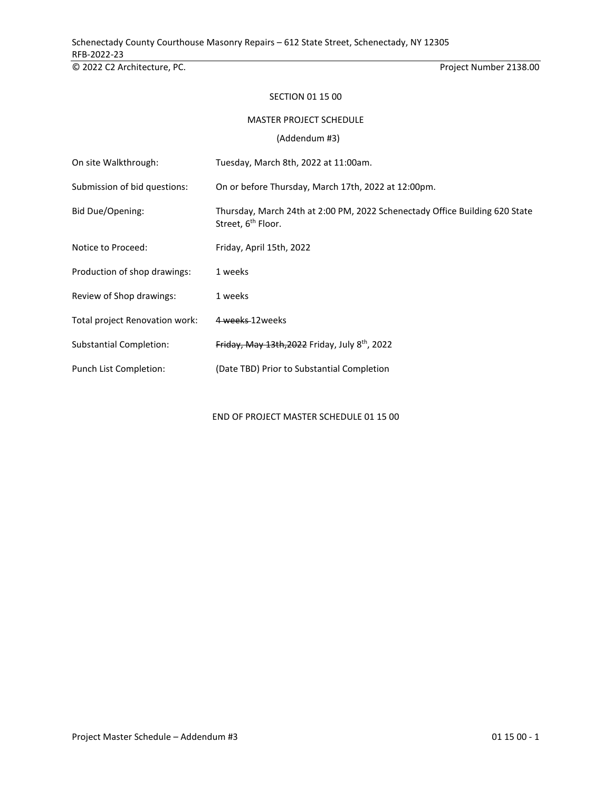© 2022 C2 Architecture, PC. Project Number 2138.00

#### SECTION 01 15 00

#### MASTER PROJECT SCHEDULE

(Addendum #3)

| On site Walkthrough:           | Tuesday, March 8th, 2022 at 11:00am.                                                                          |
|--------------------------------|---------------------------------------------------------------------------------------------------------------|
| Submission of bid questions:   | On or before Thursday, March 17th, 2022 at 12:00pm.                                                           |
| Bid Due/Opening:               | Thursday, March 24th at 2:00 PM, 2022 Schenectady Office Building 620 State<br>Street, 6 <sup>th</sup> Floor. |
| Notice to Proceed:             | Friday, April 15th, 2022                                                                                      |
| Production of shop drawings:   | 1 weeks                                                                                                       |
| Review of Shop drawings:       | 1 weeks                                                                                                       |
| Total project Renovation work: | 4 weeks 12 weeks                                                                                              |
| <b>Substantial Completion:</b> | Friday, May 13th, 2022 Friday, July 8th, 2022                                                                 |
| Punch List Completion:         | (Date TBD) Prior to Substantial Completion                                                                    |

END OF PROJECT MASTER SCHEDULE 01 15 00